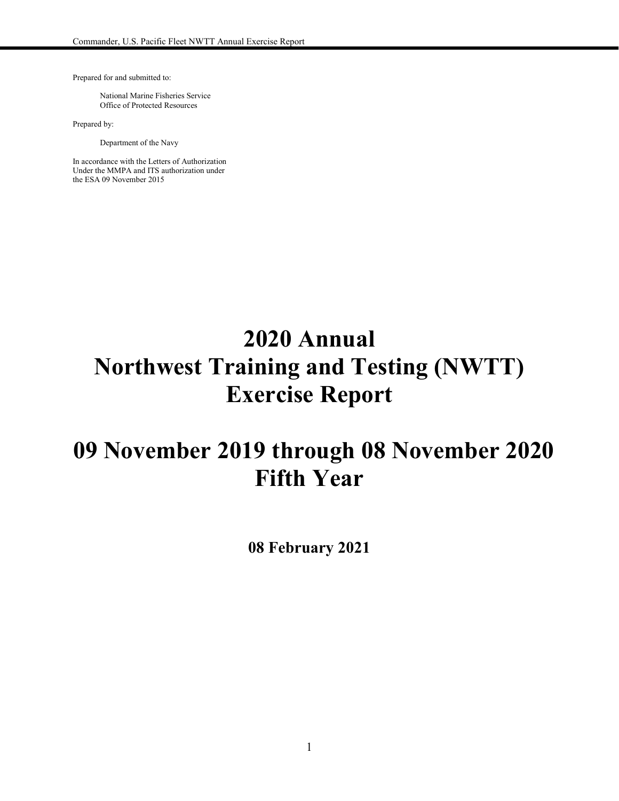Prepared for and submitted to:

National Marine Fisheries Service Office of Protected Resources

Prepared by:

Department of the Navy

In accordance with the Letters of Authorization Under the MMPA and ITS authorization under the ESA 09 November 2015

# **2020 Annual Northwest Training and Testing (NWTT) Exercise Report**

# **09 November 2019 through 08 November 2020 Fifth Year**

**08 February 2021**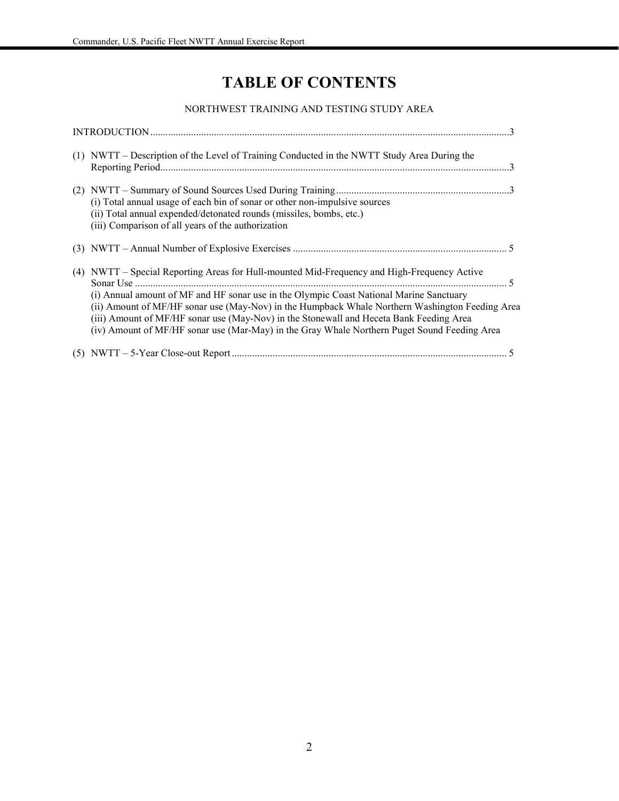# **TABLE OF CONTENTS**

#### NORTHWEST TRAINING AND TESTING STUDY AREA

| (1) NWTT – Description of the Level of Training Conducted in the NWTT Study Area During the                                                                                                                                                                                                                                                                                          |  |
|--------------------------------------------------------------------------------------------------------------------------------------------------------------------------------------------------------------------------------------------------------------------------------------------------------------------------------------------------------------------------------------|--|
| (i) Total annual usage of each bin of sonar or other non-impulsive sources<br>(ii) Total annual expended/detonated rounds (missiles, bombs, etc.)<br>(iii) Comparison of all years of the authorization                                                                                                                                                                              |  |
|                                                                                                                                                                                                                                                                                                                                                                                      |  |
| (4) NWTT – Special Reporting Areas for Hull-mounted Mid-Frequency and High-Frequency Active<br>(i) Annual amount of MF and HF sonar use in the Olympic Coast National Marine Sanctuary<br>(ii) Amount of MF/HF sonar use (May-Nov) in the Humpback Whale Northern Washington Feeding Area<br>(iii) Amount of MF/HF sonar use (May-Nov) in the Stonewall and Heceta Bank Feeding Area |  |
| (iv) Amount of MF/HF sonar use (Mar-May) in the Gray Whale Northern Puget Sound Feeding Area                                                                                                                                                                                                                                                                                         |  |
|                                                                                                                                                                                                                                                                                                                                                                                      |  |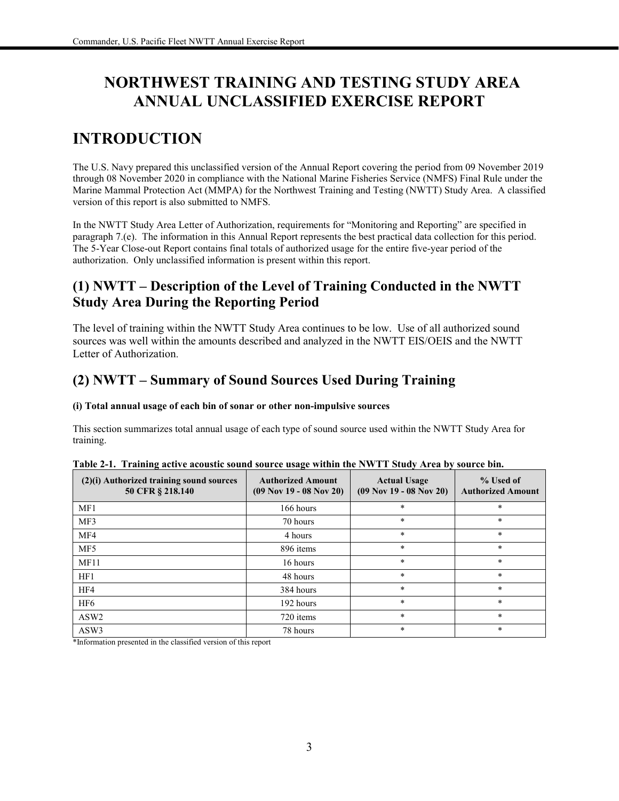# **NORTHWEST TRAINING AND TESTING STUDY AREA ANNUAL UNCLASSIFIED EXERCISE REPORT**

# **INTRODUCTION**

The U.S. Navy prepared this unclassified version of the Annual Report covering the period from 09 November 2019 through 08 November 2020 in compliance with the National Marine Fisheries Service (NMFS) Final Rule under the Marine Mammal Protection Act (MMPA) for the Northwest Training and Testing (NWTT) Study Area. A classified version of this report is also submitted to NMFS.

In the NWTT Study Area Letter of Authorization, requirements for "Monitoring and Reporting" are specified in paragraph 7.(e). The information in this Annual Report represents the best practical data collection for this period. The 5-Year Close-out Report contains final totals of authorized usage for the entire five-year period of the authorization. Only unclassified information is present within this report.

## **(1) NWTT – Description of the Level of Training Conducted in the NWTT Study Area During the Reporting Period**

The level of training within the NWTT Study Area continues to be low. Use of all authorized sound sources was well within the amounts described and analyzed in the NWTT EIS/OEIS and the NWTT Letter of Authorization.

## **(2) NWTT – Summary of Sound Sources Used During Training**

#### **(i) Total annual usage of each bin of sonar or other non-impulsive sources**

This section summarizes total annual usage of each type of sound source used within the NWTT Study Area for training.

| (2)(i) Authorized training sound sources<br>50 CFR § 218.140 | <b>Authorized Amount</b><br>$(09$ Nov 19 - 08 Nov 20) | <b>Actual Usage</b><br>$(09$ Nov 19 - 08 Nov 20) | % Used of<br><b>Authorized Amount</b> |
|--------------------------------------------------------------|-------------------------------------------------------|--------------------------------------------------|---------------------------------------|
| MF1                                                          | 166 hours                                             | $\ast$                                           | *                                     |
| MF3                                                          | 70 hours                                              | $\ast$                                           | *                                     |
| MF4                                                          | 4 hours                                               | $\ast$                                           | $\ast$                                |
| MF <sub>5</sub>                                              | 896 items                                             | $\ast$                                           | $\ast$                                |
| MF11                                                         | 16 hours                                              | $\ast$                                           | *                                     |
| HF1                                                          | 48 hours                                              | $\star$                                          | $\ast$                                |
| HF4                                                          | 384 hours                                             | $\star$                                          | *                                     |
| HF <sub>6</sub>                                              | 192 hours                                             | $\star$                                          | $*$                                   |
| ASW <sub>2</sub>                                             | 720 items                                             | $\star$                                          | $\ast$                                |
| ASW3                                                         | 78 hours                                              | $\ast$                                           | *                                     |

|  |  | Table 2-1. Training active acoustic sound source usage within the NWTT Study Area by source bin. |  |  |  |  |
|--|--|--------------------------------------------------------------------------------------------------|--|--|--|--|
|--|--|--------------------------------------------------------------------------------------------------|--|--|--|--|

\*Information presented in the classified version of this report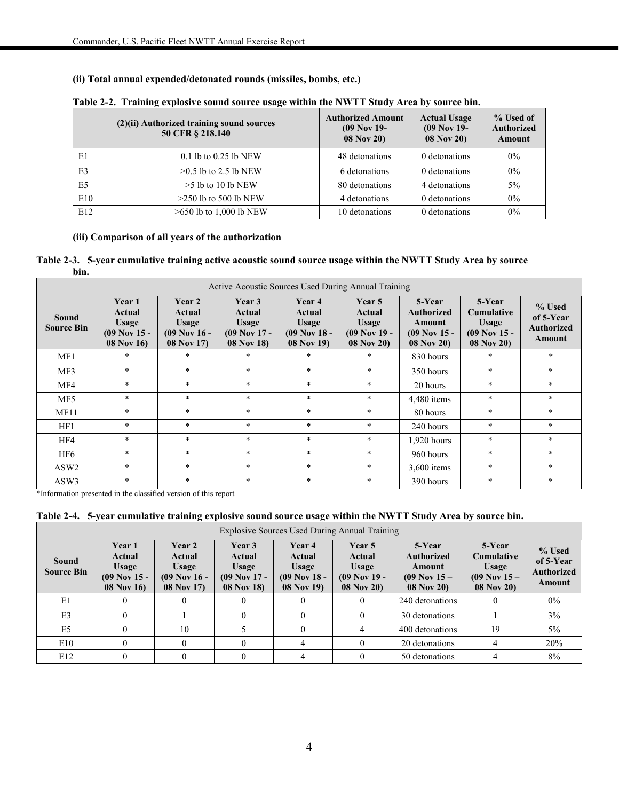#### **(ii) Total annual expended/detonated rounds (missiles, bombs, etc.)**

|                | (2)(ii) Authorized training sound sources<br>50 CFR § 218.140 | <b>Authorized Amount</b><br>$(09$ Nov 19-<br><b>08 Nov 20)</b> | <b>Actual Usage</b><br>$(09$ Nov 19-<br>08 Nov 20) | % Used of<br><b>Authorized</b><br>Amount |
|----------------|---------------------------------------------------------------|----------------------------------------------------------------|----------------------------------------------------|------------------------------------------|
| E1             | $0.1$ lb to $0.25$ lb NEW                                     | 48 detonations                                                 | 0 detonations                                      | $0\%$                                    |
| E <sub>3</sub> | $>0.5$ lb to 2.5 lb NEW                                       | 6 detonations                                                  | 0 detonations                                      | $0\%$                                    |
| E <sub>5</sub> | $>5$ lb to 10 lb NEW                                          | 80 detonations                                                 | 4 detonations                                      | $5\%$                                    |
| E10            | $>250$ lb to 500 lb NEW                                       | 4 detonations                                                  | 0 detonations                                      | $0\%$                                    |
| E12            | $>650$ lb to 1,000 lb NEW                                     | 10 detonations                                                 | 0 detonations                                      | $0\%$                                    |

#### **Table 2-2. Training explosive sound source usage within the NWTT Study Area by source bin.**

#### **(iii) Comparison of all years of the authorization**

**Table 2-3. 5-year cumulative training active acoustic sound source usage within the NWTT Study Area by source bin.**

| Active Acoustic Sources Used During Annual Training |                                                                  |                                                           |                                                           |                                                                  |                                                                         |                                                                       |                                                                      |                                                    |
|-----------------------------------------------------|------------------------------------------------------------------|-----------------------------------------------------------|-----------------------------------------------------------|------------------------------------------------------------------|-------------------------------------------------------------------------|-----------------------------------------------------------------------|----------------------------------------------------------------------|----------------------------------------------------|
| <b>Sound</b><br><b>Source Bin</b>                   | Year 1<br>Actual<br>Usage<br>$(09$ Nov 15 -<br><b>08 Nov 16)</b> | Year 2<br>Actual<br>Usage<br>$(09$ Nov 16 -<br>08 Nov 17) | Year 3<br>Actual<br>Usage<br>$(09$ Nov 17 -<br>08 Nov 18) | Year 4<br>Actual<br>Usage<br>$(09$ Nov 18 -<br><b>08 Nov 19)</b> | <b>Year 5</b><br>Actual<br><b>Usage</b><br>$(09$ Nov 19 -<br>08 Nov 20) | 5-Year<br><b>Authorized</b><br>Amount<br>$(09$ Nov 15 -<br>08 Nov 20) | 5-Year<br><b>Cumulative</b><br>Usage<br>$(09$ Nov 15 -<br>08 Nov 20) | % Used<br>of 5-Year<br><b>Authorized</b><br>Amount |
| MF1                                                 | $\star$                                                          | $*$                                                       | $\ast$                                                    | $\ast$                                                           | $*$                                                                     | 830 hours                                                             | $\ast$                                                               | $\ast$                                             |
| MF3                                                 | $\ast$                                                           | $*$                                                       | $\ast$                                                    | $*$                                                              | $*$                                                                     | 350 hours                                                             | $\ast$                                                               | $\ast$                                             |
| MF4                                                 | $\ast$                                                           | $*$                                                       | $\ast$                                                    | $*$                                                              | $*$                                                                     | 20 hours                                                              | $\ast$                                                               | $\ast$                                             |
| MF5                                                 | $\ast$                                                           | $*$                                                       | $\ast$                                                    | $*$                                                              | $*$                                                                     | $4,480$ items                                                         | $\ast$                                                               | $\ast$                                             |
| MF11                                                | $\ast$                                                           | $*$                                                       | $\ast$                                                    | $*$                                                              | $\star$                                                                 | 80 hours                                                              | $\ast$                                                               | $\ast$                                             |
| HF1                                                 | $\ast$                                                           | $*$                                                       | $\ast$                                                    | $*$                                                              | $*$                                                                     | 240 hours                                                             | $\ast$                                                               | $\ast$                                             |
| HF4                                                 | $\ast$                                                           | $*$                                                       | $\ast$                                                    | $*$                                                              | $*$                                                                     | $1,920$ hours                                                         | $\ast$                                                               | $\ast$                                             |
| HF <sub>6</sub>                                     | $\ast$                                                           | $*$                                                       | $\ast$                                                    | $*$                                                              | $*$                                                                     | 960 hours                                                             | $\ast$                                                               | $\ast$                                             |
| ASW <sub>2</sub>                                    | $\ast$                                                           | $*$                                                       | $\ast$                                                    | $\ast$                                                           | $*$                                                                     | $3,600$ items                                                         | $\ast$                                                               | $\ast$                                             |
| ASW3                                                | $\ast$                                                           | $*$                                                       | $\ast$                                                    | $*$                                                              | $*$                                                                     | 390 hours                                                             | $\ast$                                                               | $\ast$                                             |

\*Information presented in the classified version of this report

#### **Table 2-4. 5-year cumulative training explosive sound source usage within the NWTT Study Area by source bin.**

| Explosive Sources Used During Annual Training |                                                                 |                                                                  |                                                                         |                                                                  |                                                           |                                                                         |                                                                               |                                                    |
|-----------------------------------------------|-----------------------------------------------------------------|------------------------------------------------------------------|-------------------------------------------------------------------------|------------------------------------------------------------------|-----------------------------------------------------------|-------------------------------------------------------------------------|-------------------------------------------------------------------------------|----------------------------------------------------|
| Sound<br><b>Source Bin</b>                    | Year 1<br>Actual<br><b>Usage</b><br>$(09$ Nov 15 -<br>08 Nov 16 | <b>Year 2</b><br>Actual<br>Usage<br>$(09$ Nov 16 -<br>08 Nov 17) | Year 3<br>Actual<br><b>Usage</b><br>$(09$ Nov 17 -<br><b>08 Nov 18)</b> | Year 4<br>Actual<br>Usage<br>$(09$ Nov 18 -<br><b>08 Nov 19)</b> | Year 5<br>Actual<br>Usage<br>$(09$ Nov 19 -<br>08 Nov 20) | 5-Year<br><b>Authorized</b><br>Amount<br>$(09$ Nov $15 -$<br>08 Nov 20) | 5-Year<br><b>Cumulative</b><br><b>Usage</b><br>$(09$ Nov $15 -$<br>08 Nov 20) | % Used<br>of 5-Year<br><b>Authorized</b><br>Amount |
| E1                                            |                                                                 |                                                                  |                                                                         | $_{0}$                                                           |                                                           | 240 detonations                                                         |                                                                               | $0\%$                                              |
| E <sub>3</sub>                                |                                                                 |                                                                  |                                                                         | $\theta$                                                         |                                                           | 30 detonations                                                          |                                                                               | 3%                                                 |
| E <sub>5</sub>                                |                                                                 | 10                                                               |                                                                         | $_{0}$                                                           |                                                           | 400 detonations                                                         | 19                                                                            | $5\%$                                              |
| E10                                           |                                                                 |                                                                  |                                                                         | 4                                                                |                                                           | 20 detonations                                                          |                                                                               | 20%                                                |
| E12                                           |                                                                 |                                                                  |                                                                         | 4                                                                |                                                           | 50 detonations                                                          |                                                                               | 8%                                                 |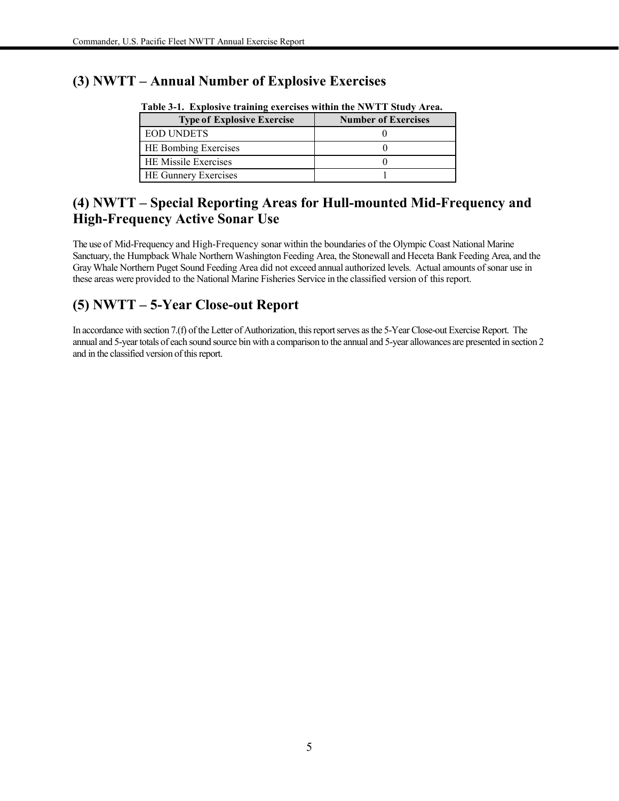### **(3) NWTT – Annual Number of Explosive Exercises**

| Table of the Explosive training exercises within the <b>TWWTTT</b> budget area. |                            |  |  |  |  |
|---------------------------------------------------------------------------------|----------------------------|--|--|--|--|
| <b>Type of Explosive Exercise</b>                                               | <b>Number of Exercises</b> |  |  |  |  |
| <b>EOD UNDETS</b>                                                               |                            |  |  |  |  |
| HE Bombing Exercises                                                            |                            |  |  |  |  |
| HE Missile Exercises                                                            |                            |  |  |  |  |
| HE Gunnery Exercises                                                            |                            |  |  |  |  |

**Table 3-1. Explosive training exercises within the NWTT Study Area.**

### **(4) NWTT – Special Reporting Areas for Hull-mounted Mid-Frequency and High-Frequency Active Sonar Use**

The use of Mid-Frequency and High-Frequency sonar within the boundaries of the Olympic Coast National Marine Sanctuary, the Humpback Whale Northern Washington Feeding Area, the Stonewall and Heceta Bank Feeding Area, and the Gray Whale Northern Puget Sound Feeding Area did not exceed annual authorized levels. Actual amounts of sonar use in these areas were provided to the National Marine Fisheries Service in the classified version of this report.

## **(5) NWTT – 5-Year Close-out Report**

In accordance with section 7.(f) of the Letter of Authorization, this report serves as the 5-Year Close-out Exercise Report. The annual and 5-year totals of each sound source bin with a comparison to the annual and 5-year allowances are presented in section 2 and in the classified version of this report.